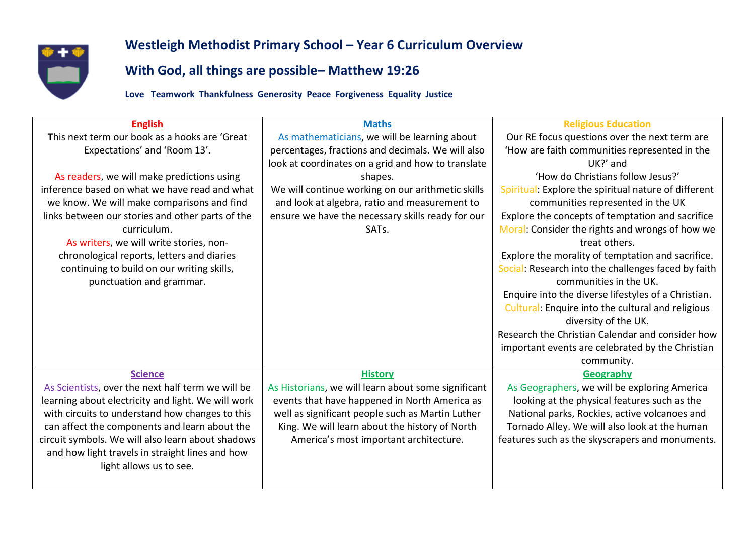

## **Westleigh Methodist Primary School – Year 6 Curriculum Overview**

## **With God, all things are possible– Matthew 19:26**

**Love Teamwork Thankfulness Generosity Peace Forgiveness Equality Justice**

| <b>English</b>                                     | <b>Maths</b>                                        | <b>Religious Education</b>                           |
|----------------------------------------------------|-----------------------------------------------------|------------------------------------------------------|
| This next term our book as a hooks are 'Great      | As mathematicians, we will be learning about        | Our RE focus questions over the next term are        |
| Expectations' and 'Room 13'.                       | percentages, fractions and decimals. We will also   | 'How are faith communities represented in the        |
|                                                    | look at coordinates on a grid and how to translate  | UK?' and                                             |
| As readers, we will make predictions using         | shapes.                                             | 'How do Christians follow Jesus?'                    |
| inference based on what we have read and what      | We will continue working on our arithmetic skills   | Spiritual: Explore the spiritual nature of different |
| we know. We will make comparisons and find         | and look at algebra, ratio and measurement to       | communities represented in the UK                    |
| links between our stories and other parts of the   | ensure we have the necessary skills ready for our   | Explore the concepts of temptation and sacrifice     |
| curriculum.                                        | SAT <sub>s</sub> .                                  | Moral: Consider the rights and wrongs of how we      |
| As writers, we will write stories, non-            |                                                     | treat others.                                        |
| chronological reports, letters and diaries         |                                                     | Explore the morality of temptation and sacrifice.    |
| continuing to build on our writing skills,         |                                                     | Social: Research into the challenges faced by faith  |
| punctuation and grammar.                           |                                                     | communities in the UK.                               |
|                                                    |                                                     | Enquire into the diverse lifestyles of a Christian.  |
|                                                    |                                                     | Cultural: Enquire into the cultural and religious    |
|                                                    |                                                     | diversity of the UK.                                 |
|                                                    |                                                     | Research the Christian Calendar and consider how     |
|                                                    |                                                     | important events are celebrated by the Christian     |
|                                                    |                                                     | community.                                           |
| <b>Science</b>                                     | <b>History</b>                                      | Geography                                            |
| As Scientists, over the next half term we will be  | As Historians, we will learn about some significant | As Geographers, we will be exploring America         |
| learning about electricity and light. We will work | events that have happened in North America as       | looking at the physical features such as the         |
| with circuits to understand how changes to this    | well as significant people such as Martin Luther    | National parks, Rockies, active volcanoes and        |
| can affect the components and learn about the      | King. We will learn about the history of North      | Tornado Alley. We will also look at the human        |
| circuit symbols. We will also learn about shadows  | America's most important architecture.              | features such as the skyscrapers and monuments.      |
| and how light travels in straight lines and how    |                                                     |                                                      |
| light allows us to see.                            |                                                     |                                                      |
|                                                    |                                                     |                                                      |